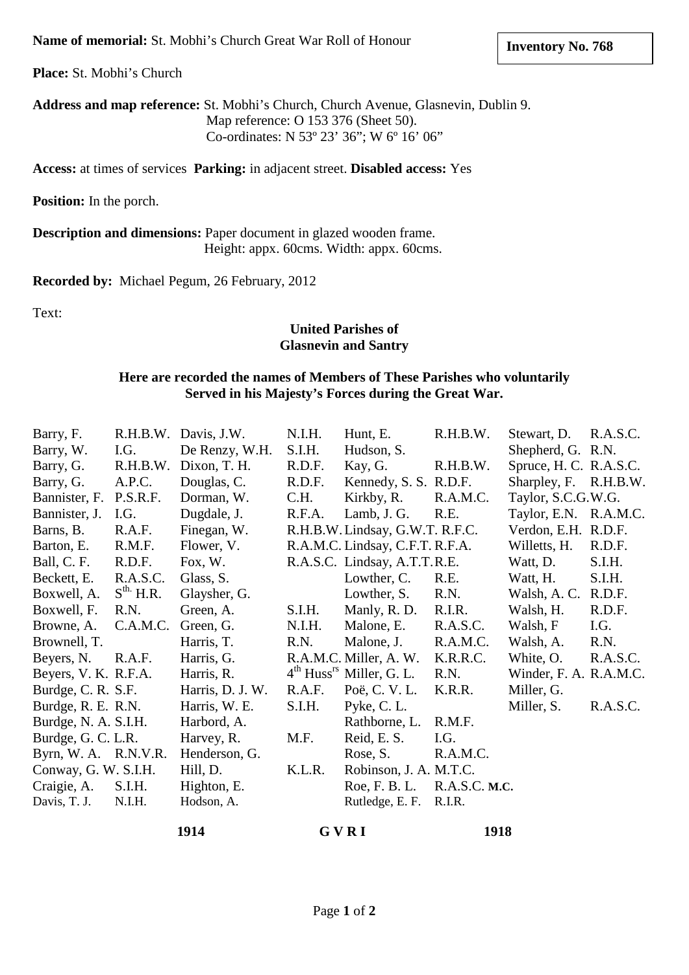**Place:** St. Mobhi's Church

**Address and map reference:** St. Mobhi's Church, Church Avenue, Glasnevin, Dublin 9. Map reference: O 153 376 (Sheet 50). Co-ordinates: N 53º 23' 36"; W 6º 16' 06"

**Access:** at times of services **Parking:** in adjacent street. **Disabled access:** Yes

**Position:** In the porch.

**Description and dimensions:** Paper document in glazed wooden frame. Height: appx. 60cms. Width: appx. 60cms.

**Recorded by:** Michael Pegum, 26 February, 2012

Text:

## **United Parishes of Glasnevin and Santry**

## **Here are recorded the names of Members of These Parishes who voluntarily Served in his Majesty's Forces during the Great War.**

| Barry, F.            |                | R.H.B.W. Davis, J.W. | N.I.H. | Hunt, E.                        | R.H.B.W.      | Stewart, D.            | R.A.S.C. |
|----------------------|----------------|----------------------|--------|---------------------------------|---------------|------------------------|----------|
| Barry, W.            | I.G.           | De Renzy, W.H.       | S.I.H. | Hudson, S.                      |               | Shepherd, G. R.N.      |          |
| Barry, G.            | R.H.B.W.       | Dixon, T. H.         | R.D.F. | Kay, G.                         | R.H.B.W.      | Spruce, H. C. R.A.S.C. |          |
| Barry, G.            | A.P.C.         | Douglas, C.          | R.D.F. | Kennedy, S. S. R.D.F.           |               | Sharpley, F. R.H.B.W.  |          |
| Bannister, F.        | P.S.R.F.       | Dorman, W.           | C.H.   | Kirkby, R.                      | R.A.M.C.      | Taylor, S.C.G.W.G.     |          |
| Bannister, J.        | I.G.           | Dugdale, J.          | R.F.A. | Lamb, J. G.                     | R.E.          | Taylor, E.N. R.A.M.C.  |          |
| Barns, B.            | R.A.F.         | Finegan, W.          |        | R.H.B.W. Lindsay, G.W.T. R.F.C. |               | Verdon, E.H. R.D.F.    |          |
| Barton, E.           | R.M.F.         | Flower, V.           |        | R.A.M.C. Lindsay, C.F.T. R.F.A. |               | Willetts, H.           | R.D.F.   |
| Ball, C. F.          | R.D.F.         | Fox, W.              |        | R.A.S.C. Lindsay, A.T.T.R.E.    |               | Watt, D.               | S.I.H.   |
| Beckett, E.          | R.A.S.C.       | Glass, S.            |        | Lowther, C.                     | R.E.          | Watt, H.               | S.I.H.   |
| Boxwell, A.          | $S^{th.}$ H.R. | Glaysher, G.         |        | Lowther, S.                     | R.N.          | Walsh, A.C.            | R.D.F.   |
| Boxwell, F.          | R.N.           | Green, A.            | S.I.H. | Manly, R. D.                    | R.I.R.        | Walsh, H.              | R.D.F.   |
| Browne, A.           | C.A.M.C.       | Green, G.            | N.I.H. | Malone, E.                      | R.A.S.C.      | Walsh, F               | I.G.     |
| Brownell, T.         |                | Harris, T.           | R.N.   | Malone, J.                      | R.A.M.C.      | Walsh, A.              | R.N.     |
| Beyers, N.           | R.A.F.         | Harris, G.           |        | R.A.M.C. Miller, A.W.           | K.R.R.C.      | White, O.              | R.A.S.C. |
| Beyers, V. K. R.F.A. |                | Harris, R.           |        | $4th Hussrs Miller, G. L.$      | R.N.          | Winder, F. A. R.A.M.C. |          |
| Burdge, C. R. S.F.   |                | Harris, D. J. W.     | R.A.F. | Poë, C. V. L.                   | K.R.R.        | Miller, G.             |          |
| Burdge, R. E. R.N.   |                | Harris, W. E.        | S.I.H. | Pyke, C. L.                     |               | Miller, S.             | R.A.S.C. |
| Burdge, N. A. S.I.H. |                | Harbord, A.          |        | Rathborne, L.                   | R.M.F.        |                        |          |
| Burdge, G. C. L.R.   |                | Harvey, R.           | M.F.   | Reid, E. S.                     | I.G.          |                        |          |
| Byrn, W. A. R.N.V.R. |                | Henderson, G.        |        | Rose, S.                        | R.A.M.C.      |                        |          |
| Conway, G. W. S.I.H. |                | Hill, D.             | K.L.R. | Robinson, J. A. M.T.C.          |               |                        |          |
| Craigie, A.          | S.I.H.         | Highton, E.          |        | Roe, F. B. L.                   | R.A.S.C. M.C. |                        |          |
| Davis, T. J.         | N.I.H.         | Hodson, A.           |        | Rutledge, E. F.                 | R.I.R.        |                        |          |
|                      |                | 1914                 |        | GVRI                            | 1918          |                        |          |